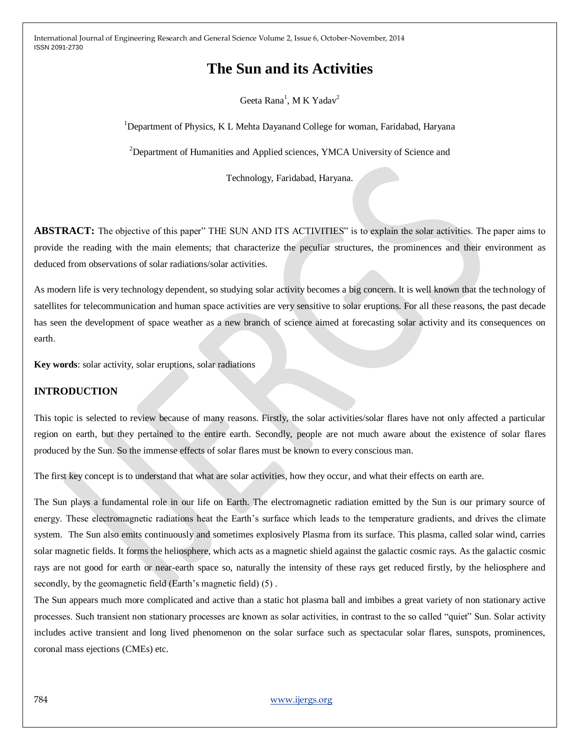# **The Sun and its Activities**

Geeta Rana<sup>1</sup>, M K Yadav<sup>2</sup>

<sup>1</sup>Department of Physics, K L Mehta Dayanand College for woman, Faridabad, Haryana

<sup>2</sup>Department of Humanities and Applied sciences, YMCA University of Science and

Technology, Faridabad, Haryana.

**ABSTRACT:** The objective of this paper" THE SUN AND ITS ACTIVITIES" is to explain the solar activities. The paper aims to provide the reading with the main elements; that characterize the peculiar structures, the prominences and their environment as deduced from observations of solar radiations/solar activities.

As modern life is very technology dependent, so studying solar activity becomes a big concern. It is well known that the technology of satellites for telecommunication and human space activities are very sensitive to solar eruptions. For all these reasons, the past decade has seen the development of space weather as a new branch of science aimed at forecasting solar activity and its consequences on earth.

**Key words**: solar activity, solar eruptions, solar radiations

# **INTRODUCTION**

This topic is selected to review because of many reasons. Firstly, the solar activities/solar flares have not only affected a particular region on earth, but they pertained to the entire earth. Secondly, people are not much aware about the existence of solar flares produced by the Sun. So the immense effects of solar flares must be known to every conscious man.

The first key concept is to understand that what are solar activities, how they occur, and what their effects on earth are.

The Sun plays a fundamental role in our life on Earth. The electromagnetic radiation emitted by the Sun is our primary source of energy. These electromagnetic radiations heat the Earth's surface which leads to the temperature gradients, and drives the climate system. The Sun also emits continuously and sometimes explosively Plasma from its surface. This plasma, called solar wind, carries solar magnetic fields. It forms the heliosphere, which acts as a magnetic shield against the galactic cosmic rays. As the galactic cosmic rays are not good for earth or near-earth space so, naturally the intensity of these rays get reduced firstly, by the heliosphere and secondly, by the geomagnetic field (Earth's magnetic field) (5) .

The Sun appears much more complicated and active than a static hot plasma ball and imbibes a great variety of non stationary active processes. Such transient non stationary processes are known as solar activities, in contrast to the so called "quiet" Sun. Solar activity includes active transient and long lived phenomenon on the solar surface such as spectacular solar flares, sunspots, prominences, coronal mass ejections (CMEs) etc.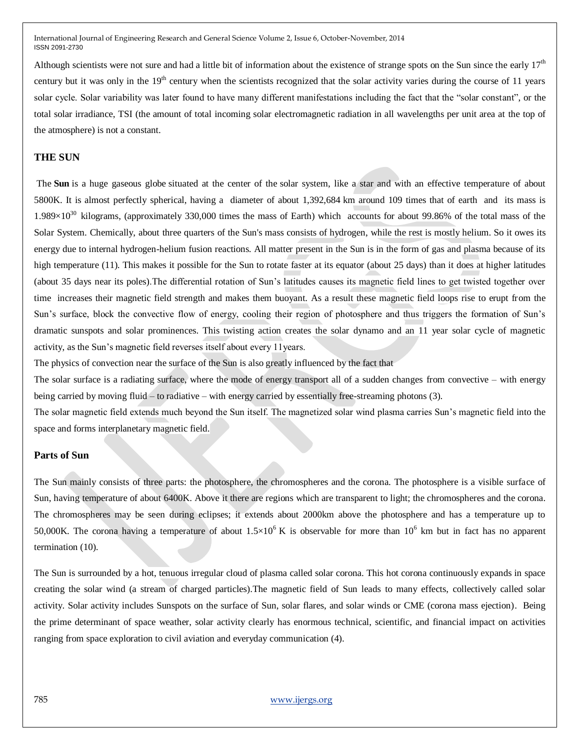Although scientists were not sure and had a little bit of information about the existence of strange spots on the Sun since the early  $17<sup>th</sup>$ century but it was only in the  $19<sup>th</sup>$  century when the scientists recognized that the solar activity varies during the course of 11 years solar cycle. Solar variability was later found to have many different manifestations including the fact that the "solar constant", or the total solar irradiance, TSI (the amount of total incoming solar electromagnetic radiation in all wavelengths per unit area at the top of the atmosphere) is not a constant.

## **THE SUN**

The **Sun** is a huge gaseous globe situated at the center of the solar system, like a star and with an effective temperature of about 5800K. It is almost perfectly spherical, having a diameter of about 1,392,684 km around 109 times that of earth and its mass is 1.989 $\times$ 10<sup>30</sup> kilograms, (approximately 330,000 times the mass of Earth) which accounts for about 99.86% of the total mass of the Solar System. Chemically, about three quarters of the Sun's mass consists of hydrogen, while the rest is mostly helium. So it owes its energy due to internal hydrogen-helium fusion reactions. All matter present in the Sun is in the form of gas and plasma because of its high temperature (11). This makes it possible for the Sun to rotate faster at its equator (about 25 days) than it does at higher latitudes (about 35 days near its poles).The differential rotation of Sun's latitudes causes its magnetic field lines to get twisted together over time increases their magnetic field strength and makes them buoyant. As a result these magnetic field loops rise to erupt from the Sun's surface, block the convective flow of energy, cooling their region of photosphere and thus triggers the formation of Sun's dramatic sunspots and solar prominences. This twisting action creates the solar dynamo and an 11 year solar cycle of magnetic activity, as the Sun's magnetic field reverses itself about every 11years.

The physics of convection near the surface of the Sun is also greatly influenced by the fact that

The solar surface is a radiating surface, where the mode of energy transport all of a sudden changes from convective – with energy being carried by moving fluid – to radiative – with energy carried by essentially free-streaming photons (3).

The solar magnetic field extends much beyond the Sun itself. The magnetized solar wind plasma carries Sun's magnetic field into the space and forms interplanetary magnetic field.

#### **Parts of Sun**

The Sun mainly consists of three parts: the photosphere, the chromospheres and the corona. The photosphere is a visible surface of Sun, having temperature of about 6400K. Above it there are regions which are transparent to light; the chromospheres and the corona. The chromospheres may be seen during eclipses; it extends about 2000km above the photosphere and has a temperature up to 50,000K. The corona having a temperature of about  $1.5 \times 10^6$  K is observable for more than  $10^6$  km but in fact has no apparent termination (10).

The Sun is surrounded by a hot, tenuous irregular cloud of plasma called solar corona. This hot corona continuously expands in space creating the solar wind (a stream of charged particles).The magnetic field of Sun leads to many effects, collectively called solar activity. Solar activity includes Sunspots on the surface of Sun, solar flares, and solar winds or CME (corona mass ejection). Being the prime determinant of space weather, solar activity clearly has enormous technical, scientific, and financial impact on activities ranging from space exploration to civil aviation and everyday communication (4).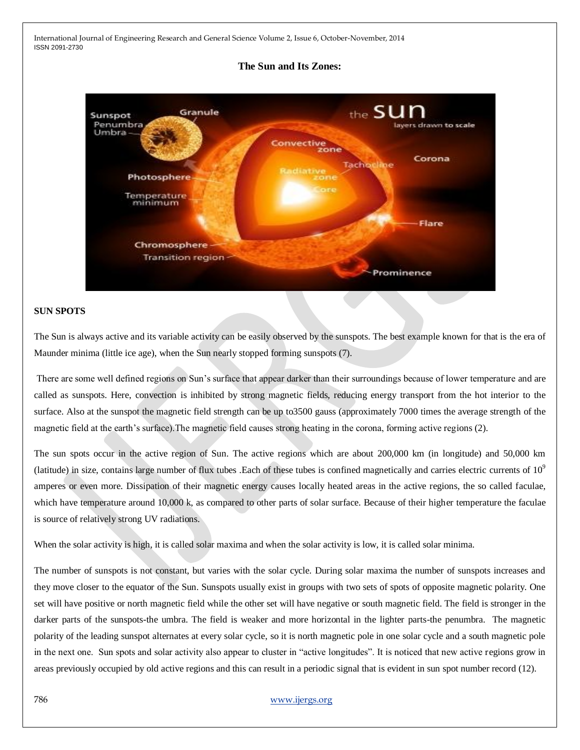#### **The Sun and Its Zones:**



#### **SUN SPOTS**

The Sun is always active and its variable activity can be easily observed by the sunspots. The best example known for that is the era of Maunder minima (little ice age), when the Sun nearly stopped forming sunspots (7).

There are some well defined regions on Sun's surface that appear darker than their surroundings because of lower temperature and are called as sunspots. Here, convection is inhibited by strong magnetic fields, reducing energy transport from the hot interior to the surface. Also at the sunspot the magnetic field strength can be up to3500 gauss (approximately 7000 times the average strength of the magnetic field at the earth's surface).The magnetic field causes strong heating in the corona, forming active regions (2).

The sun spots occur in the active region of Sun. The active regions which are about 200,000 km (in longitude) and 50,000 km (latitude) in size, contains large number of flux tubes . Each of these tubes is confined magnetically and carries electric currents of  $10<sup>9</sup>$ amperes or even more. Dissipation of their magnetic energy causes locally heated areas in the active regions, the so called faculae, which have temperature around 10,000 k, as compared to other parts of solar surface. Because of their higher temperature the faculae is source of relatively strong UV radiations.

When the solar activity is high, it is called solar maxima and when the solar activity is low, it is called solar minima.

The number of sunspots is not constant, but varies with the solar cycle. During solar maxima the number of sunspots increases and they move closer to the equator of the Sun. Sunspots usually exist in groups with two sets of spots of opposite magnetic polarity. One set will have positive or north magnetic field while the other set will have negative or south magnetic field. The field is stronger in the darker parts of the sunspots-the umbra. The field is weaker and more horizontal in the lighter parts-the penumbra. The magnetic polarity of the leading sunspot alternates at every solar cycle, so it is north magnetic pole in one solar cycle and a south magnetic pole in the next one. Sun spots and solar activity also appear to cluster in "active longitudes". It is noticed that new active regions grow in areas previously occupied by old active regions and this can result in a periodic signal that is evident in sun spot number record (12).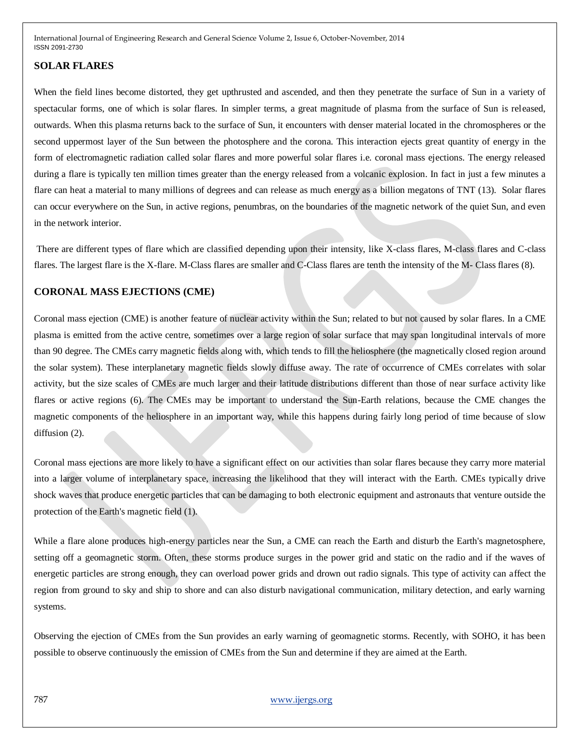## **SOLAR FLARES**

When the field lines become distorted, they get upthrusted and ascended, and then they penetrate the surface of Sun in a variety of spectacular forms, one of which is solar flares. In simpler terms, a great magnitude of plasma from the surface of Sun is released, outwards. When this plasma returns back to the surface of Sun, it encounters with denser material located in the chromospheres or the second uppermost layer of the Sun between the photosphere and the corona. This interaction ejects great quantity of energy in the form of electromagnetic radiation called solar flares and more powerful solar flares i.e. coronal mass ejections. The energy released during a flare is typically ten million times greater than the energy released from a volcanic explosion. In fact in just a few minutes a flare can heat a material to many millions of degrees and can release as much energy as a billion megatons of TNT (13). Solar flares can occur everywhere on the Sun, in active regions, penumbras, on the boundaries of the magnetic network of the quiet Sun, and even in the network interior.

There are different types of flare which are classified depending upon their intensity, like X-class flares, M-class flares and C-class flares. The largest flare is the X-flare. M-Class flares are smaller and C-Class flares are tenth the intensity of the M- Class flares (8).

## **CORONAL MASS EJECTIONS (CME)**

Coronal mass ejection (CME) is another feature of nuclear activity within the Sun; related to but not caused by solar flares. In a CME plasma is emitted from the active centre, sometimes over a large region of solar surface that may span longitudinal intervals of more than 90 degree. The CMEs carry magnetic fields along with, which tends to fill the heliosphere (the magnetically closed region around the solar system). These interplanetary magnetic fields slowly diffuse away. The rate of occurrence of CMEs correlates with solar activity, but the size scales of CMEs are much larger and their latitude distributions different than those of near surface activity like flares or active regions (6). The CMEs may be important to understand the Sun-Earth relations, because the CME changes the magnetic components of the heliosphere in an important way, while this happens during fairly long period of time because of slow diffusion (2).

Coronal mass ejections are more likely to have a significant effect on our activities than solar flares because they carry more material into a larger volume of interplanetary space, increasing the likelihood that they will interact with the Earth. CMEs typically drive shock waves that produce energetic particles that can be damaging to both electronic equipment and astronauts that venture outside the protection of the Earth's magnetic field (1).

While a flare alone produces high-energy particles near the Sun, a CME can reach the Earth and disturb the Earth's magnetosphere, setting off a geomagnetic storm. Often, these storms produce surges in the power grid and static on the radio and if the waves of energetic particles are strong enough, they can overload power grids and drown out radio signals. This type of activity can affect the region from ground to sky and ship to shore and can also disturb navigational communication, military detection, and early warning systems.

Observing the ejection of CMEs from the Sun provides an early warning of geomagnetic storms. Recently, with SOHO, it has been possible to observe continuously the emission of CMEs from the Sun and determine if they are aimed at the Earth.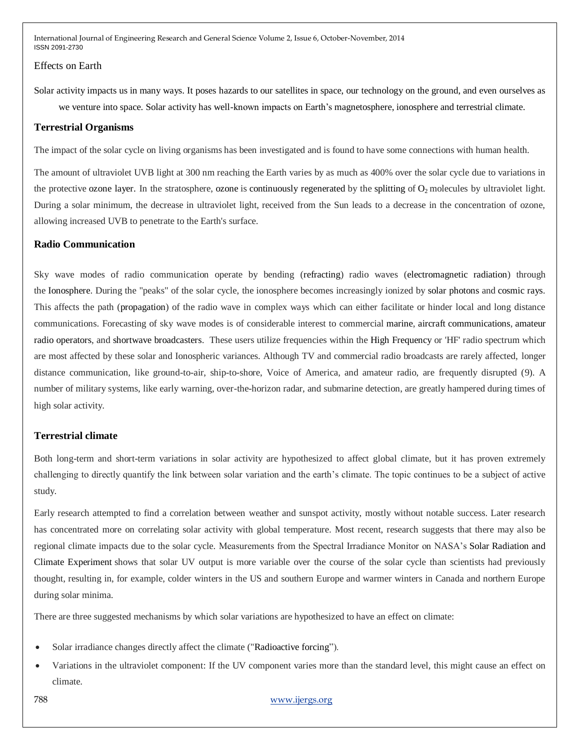#### Effects on Earth

Solar activity impacts us in many ways. It poses hazards to our satellites in space, our technology on the ground, and even ourselves as we venture into space. Solar activity has well-known impacts on Earth's magnetosphere, ionosphere and terrestrial climate.

#### **Terrestrial Organisms**

The impact of the solar cycle on living organisms has been investigated and is found to have some connections with human health.

The amount of ultraviolet UVB light at 300 nm reaching the Earth varies by as much as 400% over the solar cycle due to variations in the protective ozone layer. In the stratosphere, ozone is continuously regenerated by the splitting of  $O_2$  molecules by ultraviolet light. During a solar minimum, the decrease in ultraviolet light, received from the Sun leads to a decrease in the concentration of ozone, allowing increased UVB to penetrate to the Earth's surface.

#### **Radio Communication**

Sky wave modes of radio communication operate by bending (refracting) radio waves (electromagnetic radiation) through the Ionosphere. During the "peaks" of the solar cycle, the ionosphere becomes increasingly ionized by solar photons and cosmic rays. This affects the path (propagation) of the radio wave in complex ways which can either facilitate or hinder local and long distance communications. Forecasting of sky wave modes is of considerable interest to commercial marine, aircraft communications, amateur radio operators, and shortwave broadcasters. These users utilize frequencies within the High Frequency or 'HF' radio spectrum which are most affected by these solar and Ionospheric variances. Although TV and commercial radio broadcasts are rarely affected, longer distance communication, like ground-to-air, ship-to-shore, Voice of America, and amateur radio, are frequently disrupted (9). A number of military systems, like early warning, over-the-horizon radar, and submarine detection, are greatly hampered during times of high solar activity.

#### **Terrestrial climate**

Both long-term and short-term variations in solar activity are hypothesized to affect global climate, but it has proven extremely challenging to directly quantify the link between solar variation and the earth's climate. The topic continues to be a subject of active study.

Early research attempted to find a correlation between weather and sunspot activity, mostly without notable success. Later research has concentrated more on correlating solar activity with global temperature. Most recent, research suggests that there may also be regional climate impacts due to the solar cycle. Measurements from the Spectral Irradiance Monitor on NASA's Solar Radiation and Climate Experiment shows that solar UV output is more variable over the course of the solar cycle than scientists had previously thought, resulting in, for example, colder winters in the US and southern Europe and warmer winters in Canada and northern Europe during solar minima.

There are three suggested mechanisms by which solar variations are hypothesized to have an effect on climate:

- Solar irradiance changes directly affect the climate ("Radioactive forcing").
- Variations in the ultraviolet component: If the UV component varies more than the standard level, this might cause an effect on climate.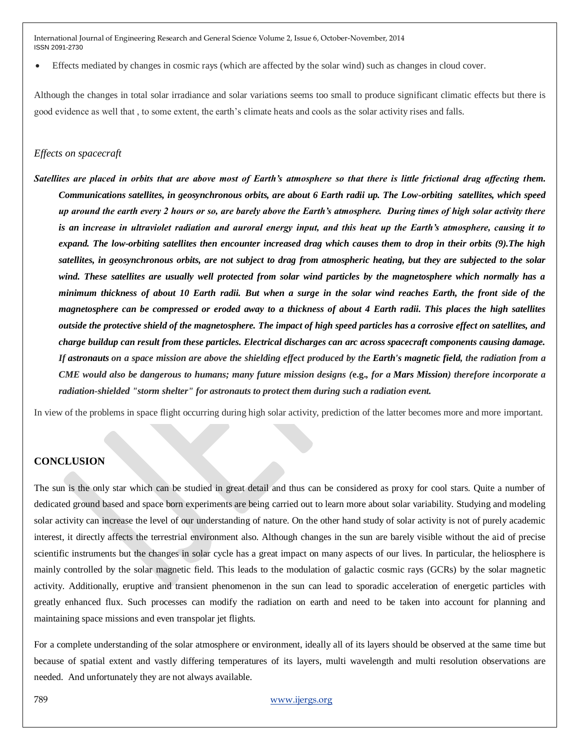Effects mediated by changes in cosmic rays (which are affected by the solar wind) such as changes in cloud cover.

Although the changes in total solar irradiance and solar variations seems too small to produce significant climatic effects but there is good evidence as well that , to some extent, the earth's climate heats and cools as the solar activity rises and falls.

#### *Effects on spacecraft*

*Satellites are placed in orbits that are above most of Earth's atmosphere so that there is little frictional drag affecting them. Communications satellites, in geosynchronous orbits, are about 6 Earth radii up. The Low-orbiting satellites, which speed up around the earth every 2 hours or so, are barely above the Earth's atmosphere. During times of high solar activity there is an increase in ultraviolet radiation and auroral energy input, and this heat up the Earth's atmosphere, causing it to expand. The low-orbiting satellites then encounter increased drag which causes them to drop in their orbits (9).The high satellites, in geosynchronous orbits, are not subject to drag from atmospheric heating, but they are subjected to the solar wind. These satellites are usually well protected from solar wind particles by the magnetosphere which normally has a minimum thickness of about 10 Earth radii. But when a surge in the solar wind reaches Earth, the front side of the magnetosphere can be compressed or eroded away to a thickness of about 4 Earth radii. This places the high satellites outside the protective shield of the magnetosphere. The impact of high speed particles has a corrosive effect on satellites, and charge buildup can result from these particles. Electrical discharges can arc across spacecraft components causing damage. If astronauts on a space mission are above the shielding effect produced by the Earth's magnetic field, the radiation from a CME would also be dangerous to humans; many future mission designs (***e.g.***, for a Mars Mission) therefore incorporate a radiation-shielded "storm shelter" for astronauts to protect them during such a radiation event.*

In view of the problems in space flight occurring during high solar activity, prediction of the latter becomes more and more important.

## **CONCLUSION**

The sun is the only star which can be studied in great detail and thus can be considered as proxy for cool stars. Quite a number of dedicated ground based and space born experiments are being carried out to learn more about solar variability. Studying and modeling solar activity can increase the level of our understanding of nature. On the other hand study of solar activity is not of purely academic interest, it directly affects the terrestrial environment also. Although changes in the sun are barely visible without the aid of precise scientific instruments but the changes in solar cycle has a great impact on many aspects of our lives. In particular, the heliosphere is mainly controlled by the solar magnetic field. This leads to the modulation of galactic cosmic rays (GCRs) by the solar magnetic activity. Additionally, eruptive and transient phenomenon in the sun can lead to sporadic acceleration of energetic particles with greatly enhanced flux. Such processes can modify the radiation on earth and need to be taken into account for planning and maintaining space missions and even transpolar jet flights.

For a complete understanding of the solar atmosphere or environment, ideally all of its layers should be observed at the same time but because of spatial extent and vastly differing temperatures of its layers, multi wavelength and multi resolution observations are needed. And unfortunately they are not always available.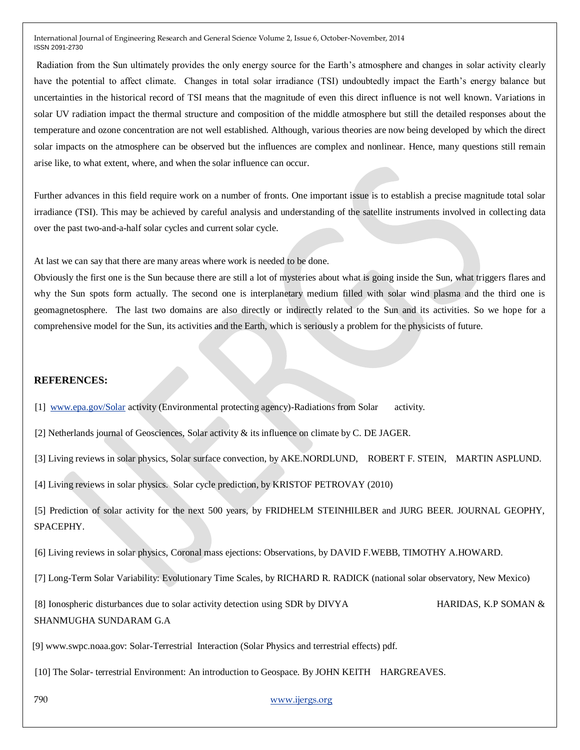Radiation from the Sun ultimately provides the only energy source for the Earth's atmosphere and changes in solar activity clearly have the potential to affect climate. Changes in total solar irradiance (TSI) undoubtedly impact the Earth's energy balance but uncertainties in the historical record of TSI means that the magnitude of even this direct influence is not well known. Variations in solar UV radiation impact the thermal structure and composition of the middle atmosphere but still the detailed responses about the temperature and ozone concentration are not well established. Although, various theories are now being developed by which the direct solar impacts on the atmosphere can be observed but the influences are complex and nonlinear. Hence, many questions still remain arise like, to what extent, where, and when the solar influence can occur.

Further advances in this field require work on a number of fronts. One important issue is to establish a precise magnitude total solar irradiance (TSI). This may be achieved by careful analysis and understanding of the satellite instruments involved in collecting data over the past two-and-a-half solar cycles and current solar cycle.

At last we can say that there are many areas where work is needed to be done.

Obviously the first one is the Sun because there are still a lot of mysteries about what is going inside the Sun, what triggers flares and why the Sun spots form actually. The second one is interplanetary medium filled with solar wind plasma and the third one is geomagnetosphere. The last two domains are also directly or indirectly related to the Sun and its activities. So we hope for a comprehensive model for the Sun, its activities and the Earth, which is seriously a problem for the physicists of future.

## **REFERENCES:**

[1] [www.epa.gov/Solar](http://www.epa.gov/Solar) activity (Environmental protecting agency)-Radiations from Solar activity.

[2] Netherlands journal of Geosciences, Solar activity & its influence on climate by C. DE JAGER.

[3] Living reviews in solar physics, Solar surface convection, by AKE.NORDLUND, ROBERT F. STEIN, MARTIN ASPLUND.

[4] Living reviews in solar physics. Solar cycle prediction, by KRISTOF PETROVAY (2010)

 [5] Prediction of solar activity for the next 500 years, by FRIDHELM STEINHILBER and JURG BEER. JOURNAL GEOPHY, SPACEPHY.

[6] Living reviews in solar physics, Coronal mass ejections: Observations, by DAVID F.WEBB, TIMOTHY A.HOWARD*.* 

[7] Long-Term Solar Variability: Evolutionary Time Scales, by RICHARD R. RADICK (national solar observatory, New Mexico)

 [8] Ionospheric disturbances due to solar activity detection using SDR by DIVYA HARIDAS, K.P SOMAN & SHANMUGHA SUNDARAM G.A

[9] www.swpc.noaa.gov: Solar-Terrestrial Interaction (Solar Physics and terrestrial effects) pdf.

[10] The Solar- terrestrial Environment: An introduction to Geospace. By JOHN KEITH HARGREAVES.